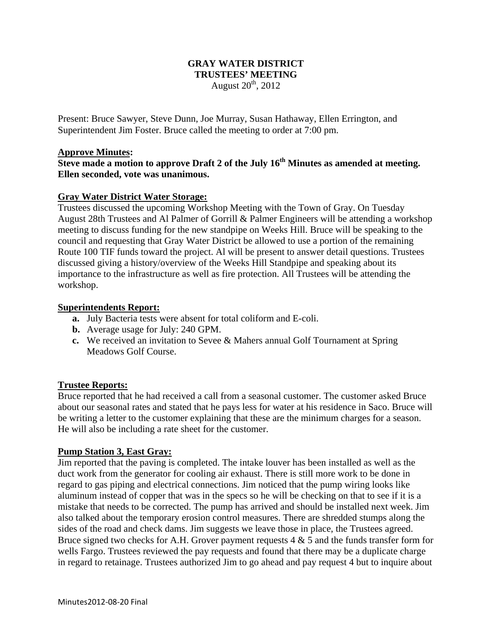# **GRAY WATER DISTRICT TRUSTEES' MEETING**

August  $20^{th}$ ,  $2012$ 

Present: Bruce Sawyer, Steve Dunn, Joe Murray, Susan Hathaway, Ellen Errington, and Superintendent Jim Foster. Bruce called the meeting to order at 7:00 pm.

#### **Approve Minutes:**

**Steve made a motion to approve Draft 2 of the July 16th Minutes as amended at meeting. Ellen seconded, vote was unanimous.** 

### **Gray Water District Water Storage:**

Trustees discussed the upcoming Workshop Meeting with the Town of Gray. On Tuesday August 28th Trustees and Al Palmer of Gorrill & Palmer Engineers will be attending a workshop meeting to discuss funding for the new standpipe on Weeks Hill. Bruce will be speaking to the council and requesting that Gray Water District be allowed to use a portion of the remaining Route 100 TIF funds toward the project. Al will be present to answer detail questions. Trustees discussed giving a history/overview of the Weeks Hill Standpipe and speaking about its importance to the infrastructure as well as fire protection. All Trustees will be attending the workshop.

#### **Superintendents Report:**

- **a.** July Bacteria tests were absent for total coliform and E-coli.
- **b.** Average usage for July: 240 GPM.
- **c.** We received an invitation to Sevee & Mahers annual Golf Tournament at Spring Meadows Golf Course.

### **Trustee Reports:**

Bruce reported that he had received a call from a seasonal customer. The customer asked Bruce about our seasonal rates and stated that he pays less for water at his residence in Saco. Bruce will be writing a letter to the customer explaining that these are the minimum charges for a season. He will also be including a rate sheet for the customer.

### **Pump Station 3, East Gray:**

Jim reported that the paving is completed. The intake louver has been installed as well as the duct work from the generator for cooling air exhaust. There is still more work to be done in regard to gas piping and electrical connections. Jim noticed that the pump wiring looks like aluminum instead of copper that was in the specs so he will be checking on that to see if it is a mistake that needs to be corrected. The pump has arrived and should be installed next week. Jim also talked about the temporary erosion control measures. There are shredded stumps along the sides of the road and check dams. Jim suggests we leave those in place, the Trustees agreed. Bruce signed two checks for A.H. Grover payment requests  $4 \& 5$  and the funds transfer form for wells Fargo. Trustees reviewed the pay requests and found that there may be a duplicate charge in regard to retainage. Trustees authorized Jim to go ahead and pay request 4 but to inquire about